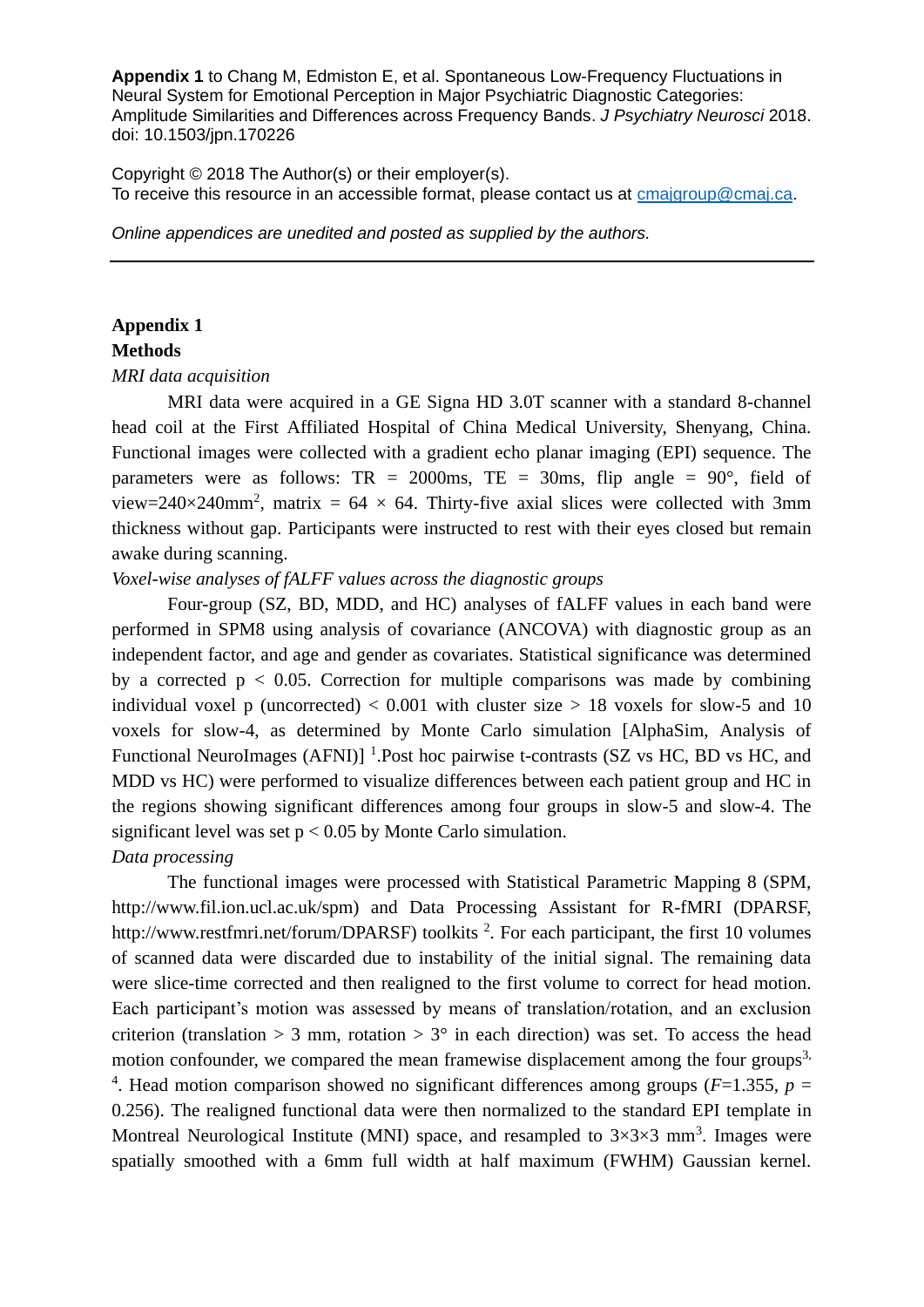Copyright © 2018 The Author(s) or their employer(s). To receive this resource in an accessible format, please contact us at **cmajgroup@cmaj.ca**.

*Online appendices are unedited and posted as supplied by the authors.*

## **Appendix 1**

#### **Methods**

*MRI data acquisition* 

MRI data were acquired in a GE Signa HD 3.0T scanner with a standard 8-channel head coil at the First Affiliated Hospital of China Medical University, Shenyang, China. Functional images were collected with a gradient echo planar imaging (EPI) sequence. The parameters were as follows:  $TR = 2000$ ms,  $TE = 30$ ms, flip angle =  $90^{\circ}$ , field of view=240×240mm<sup>2</sup>, matrix = 64 × 64. Thirty-five axial slices were collected with 3mm thickness without gap. Participants were instructed to rest with their eyes closed but remain awake during scanning.

## *Voxel-wise analyses of fALFF values across the diagnostic groups*

Four-group (SZ, BD, MDD, and HC) analyses of fALFF values in each band were performed in SPM8 using analysis of covariance (ANCOVA) with diagnostic group as an independent factor, and age and gender as covariates. Statistical significance was determined by a corrected  $p < 0.05$ . Correction for multiple comparisons was made by combining individual voxel p (uncorrected)  $< 0.001$  with cluster size  $> 18$  voxels for slow-5 and 10 voxels for slow-4, as determined by Monte Carlo simulation [AlphaSim, Analysis of Functional NeuroImages (AFNI)]<sup>1</sup>.Post hoc pairwise t-contrasts (SZ vs HC, BD vs HC, and MDD vs HC) were performed to visualize differences between each patient group and HC in the regions showing significant differences among four groups in slow-5 and slow-4. The significant level was set  $p < 0.05$  by Monte Carlo simulation.

#### *Data processing*

The functional images were processed with Statistical Parametric Mapping 8 (SPM, http://www.fil.ion.ucl.ac.uk/spm) and Data Processing Assistant for R-fMRI (DPARSF, http://www.restfmri.net/forum/DPARSF) toolkits  $2$ . For each participant, the first 10 volumes of scanned data were discarded due to instability of the initial signal. The remaining data were slice-time corrected and then realigned to the first volume to correct for head motion. Each participant's motion was assessed by means of translation/rotation, and an exclusion criterion (translation  $> 3$  mm, rotation  $> 3^{\circ}$  in each direction) was set. To access the head motion confounder, we compared the mean framewise displacement among the four groups<sup>3,</sup> <sup>4</sup>. Head motion comparison showed no significant differences among groups ( $F=1.355$ ,  $p=$ 0.256). The realigned functional data were then normalized to the standard EPI template in Montreal Neurological Institute (MNI) space, and resampled to  $3\times3\times3$  mm<sup>3</sup>. Images were spatially smoothed with a 6mm full width at half maximum (FWHM) Gaussian kernel.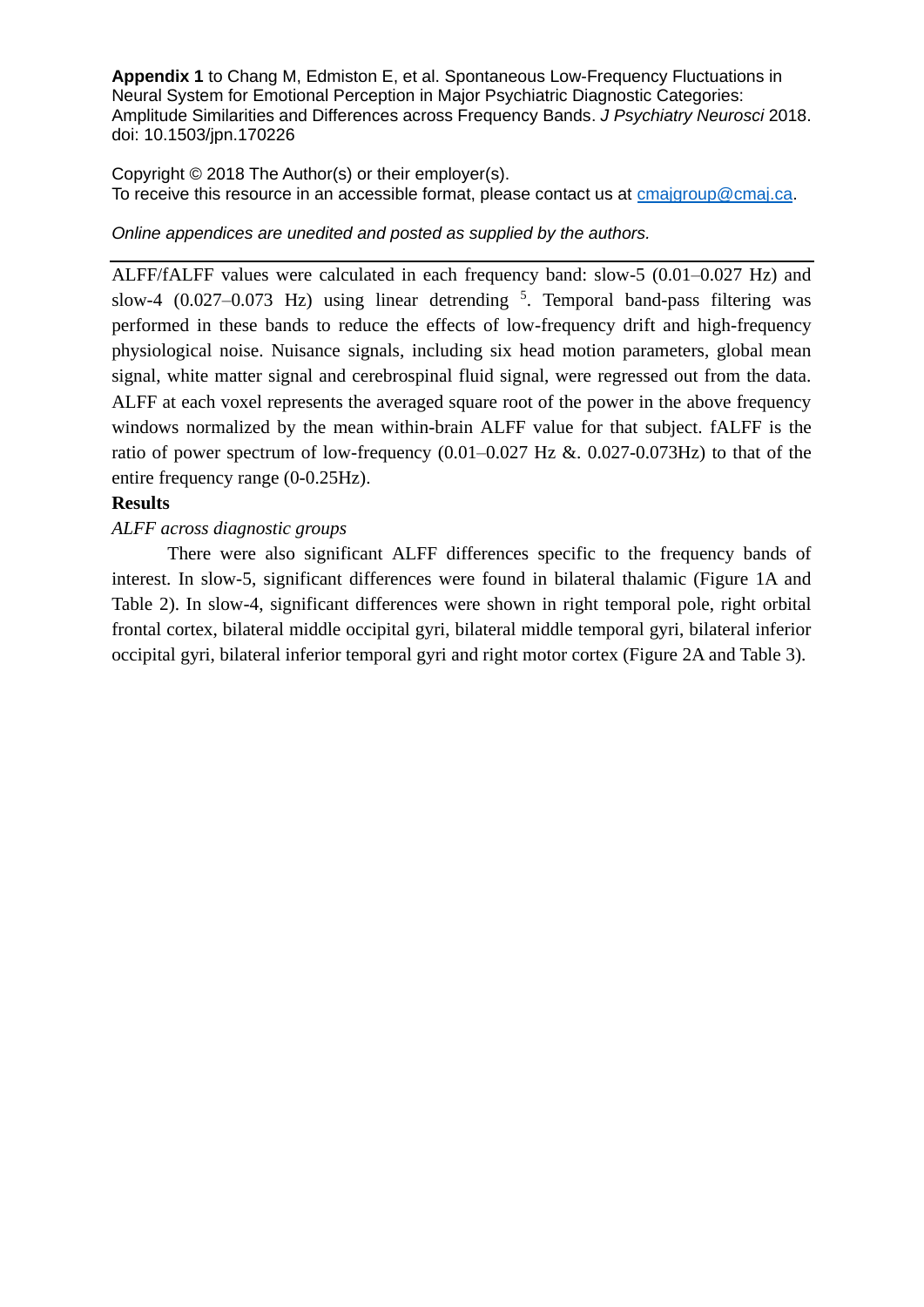Copyright © 2018 The Author(s) or their employer(s). To receive this resource in an accessible format, please contact us at **cmajgroup@cmaj.ca**.

*Online appendices are unedited and posted as supplied by the authors.*

ALFF/fALFF values were calculated in each frequency band: slow-5 (0.01–0.027 Hz) and slow-4  $(0.027-0.073$  Hz) using linear detrending  $5$ . Temporal band-pass filtering was performed in these bands to reduce the effects of low-frequency drift and high-frequency physiological noise. Nuisance signals, including six head motion parameters, global mean signal, white matter signal and cerebrospinal fluid signal, were regressed out from the data. ALFF at each voxel represents the averaged square root of the power in the above frequency windows normalized by the mean within-brain ALFF value for that subject. fALFF is the ratio of power spectrum of low-frequency  $(0.01-0.027 \text{ Hz} \& 0.027-0.073 \text{ Hz})$  to that of the entire frequency range (0-0.25Hz).

# **Results**

## *ALFF across diagnostic groups*

There were also significant ALFF differences specific to the frequency bands of interest. In slow-5, significant differences were found in bilateral thalamic (Figure 1A and Table 2). In slow-4, significant differences were shown in right temporal pole, right orbital frontal cortex, bilateral middle occipital gyri, bilateral middle temporal gyri, bilateral inferior occipital gyri, bilateral inferior temporal gyri and right motor cortex (Figure 2A and Table 3).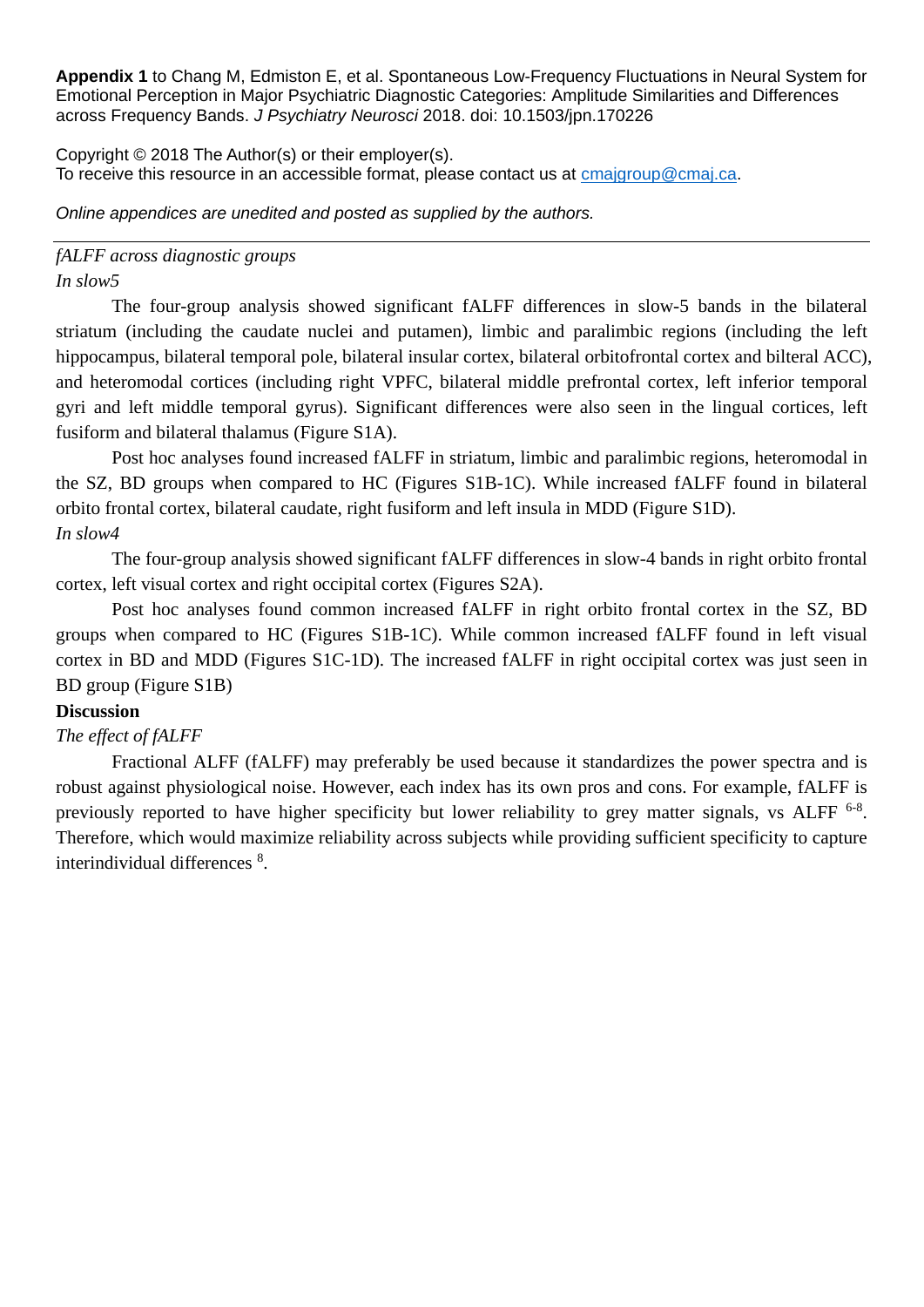Copyright © 2018 The Author(s) or their employer(s). To receive this resource in an accessible format, please contact us at [cmajgroup@cmaj.ca.](mailto:cmajgroup@cmaj.ca)

*Online appendices are unedited and posted as supplied by the authors.*

## *fALFF across diagnostic groups In slow5*

The four-group analysis showed significant fALFF differences in slow-5 bands in the bilateral striatum (including the caudate nuclei and putamen), limbic and paralimbic regions (including the left hippocampus, bilateral temporal pole, bilateral insular cortex, bilateral orbitofrontal cortex and bilteral ACC), and heteromodal cortices (including right VPFC, bilateral middle prefrontal cortex, left inferior temporal gyri and left middle temporal gyrus). Significant differences were also seen in the lingual cortices, left fusiform and bilateral thalamus (Figure S1A).

Post hoc analyses found increased fALFF in striatum, limbic and paralimbic regions, heteromodal in the SZ, BD groups when compared to HC (Figures S1B-1C). While increased fALFF found in bilateral orbito frontal cortex, bilateral caudate, right fusiform and left insula in MDD (Figure S1D). *In slow4*

The four-group analysis showed significant fALFF differences in slow-4 bands in right orbito frontal cortex, left visual cortex and right occipital cortex (Figures S2A).

Post hoc analyses found common increased fALFF in right orbito frontal cortex in the SZ, BD groups when compared to HC (Figures S1B-1C). While common increased fALFF found in left visual cortex in BD and MDD (Figures S1C-1D). The increased fALFF in right occipital cortex was just seen in BD group (Figure S1B)

# **Discussion**

# *The effect of fALFF*

 Fractional ALFF (fALFF) may preferably be used because it standardizes the power spectra and is robust against physiological noise. However, each index has its own pros and cons. For example, fALFF is previously reported to have higher specificity but lower reliability to grey matter signals, vs ALFF <sup>6-8</sup>. Therefore, which would maximize reliability across subjects while providing sufficient specificity to capture interindividual differences<sup>8</sup>.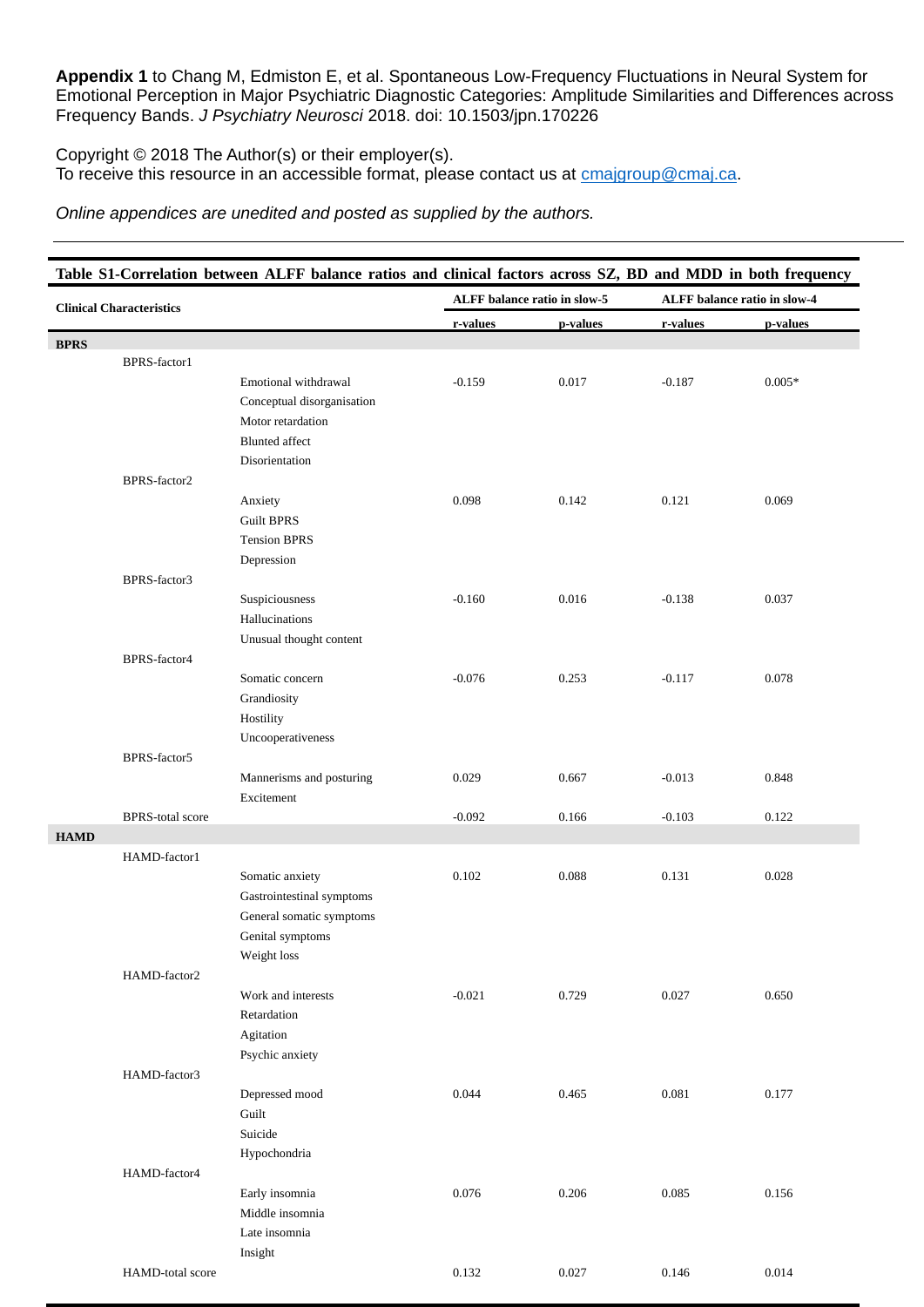Copyright © 2018 The Author(s) or their employer(s). To receive this resource in an accessible format, please contact us at **cmajgroup@cmaj.ca**.

*Online appendices are unedited and posted as supplied by the authors.*

| Table S1-Correlation between ALFF balance ratios and clinical factors across SZ, BD and MDD in both frequency |                         |                                   |          |                              |          |                              |  |
|---------------------------------------------------------------------------------------------------------------|-------------------------|-----------------------------------|----------|------------------------------|----------|------------------------------|--|
| <b>Clinical Characteristics</b>                                                                               |                         |                                   |          | ALFF balance ratio in slow-5 |          | ALFF balance ratio in slow-4 |  |
|                                                                                                               |                         |                                   | r-values | p-values                     | r-values | p-values                     |  |
| <b>BPRS</b>                                                                                                   |                         |                                   |          |                              |          |                              |  |
|                                                                                                               | BPRS-factor1            |                                   |          |                              |          |                              |  |
|                                                                                                               |                         | Emotional withdrawal              | $-0.159$ | 0.017                        | $-0.187$ | $0.005*$                     |  |
|                                                                                                               |                         | Conceptual disorganisation        |          |                              |          |                              |  |
|                                                                                                               |                         | Motor retardation                 |          |                              |          |                              |  |
|                                                                                                               |                         | <b>Blunted</b> affect             |          |                              |          |                              |  |
|                                                                                                               |                         | Disorientation                    |          |                              |          |                              |  |
|                                                                                                               | BPRS-factor2            |                                   |          |                              |          |                              |  |
|                                                                                                               |                         | Anxiety                           | 0.098    | 0.142                        | 0.121    | 0.069                        |  |
|                                                                                                               |                         | <b>Guilt BPRS</b>                 |          |                              |          |                              |  |
|                                                                                                               |                         | <b>Tension BPRS</b><br>Depression |          |                              |          |                              |  |
|                                                                                                               | BPRS-factor3            |                                   |          |                              |          |                              |  |
|                                                                                                               |                         | Suspiciousness                    | $-0.160$ | 0.016                        | $-0.138$ | 0.037                        |  |
|                                                                                                               |                         | Hallucinations                    |          |                              |          |                              |  |
|                                                                                                               |                         | Unusual thought content           |          |                              |          |                              |  |
|                                                                                                               | BPRS-factor4            |                                   |          |                              |          |                              |  |
|                                                                                                               |                         | Somatic concern                   | $-0.076$ | 0.253                        | $-0.117$ | 0.078                        |  |
|                                                                                                               |                         | Grandiosity                       |          |                              |          |                              |  |
|                                                                                                               |                         | Hostility                         |          |                              |          |                              |  |
|                                                                                                               |                         | Uncooperativeness                 |          |                              |          |                              |  |
|                                                                                                               | BPRS-factor5            |                                   |          |                              |          |                              |  |
|                                                                                                               |                         | Mannerisms and posturing          | 0.029    | 0.667                        | $-0.013$ | 0.848                        |  |
|                                                                                                               |                         | Excitement                        |          |                              |          |                              |  |
|                                                                                                               | <b>BPRS-total score</b> |                                   | $-0.092$ | 0.166                        | $-0.103$ | 0.122                        |  |
| <b>HAMD</b>                                                                                                   |                         |                                   |          |                              |          |                              |  |
|                                                                                                               | HAMD-factor1            |                                   |          |                              |          |                              |  |
|                                                                                                               |                         | Somatic anxiety                   | 0.102    | 0.088                        | 0.131    | 0.028                        |  |
|                                                                                                               |                         | Gastrointestinal symptoms         |          |                              |          |                              |  |
|                                                                                                               |                         | General somatic symptoms          |          |                              |          |                              |  |
|                                                                                                               |                         | Genital symptoms                  |          |                              |          |                              |  |
|                                                                                                               |                         | Weight loss                       |          |                              |          |                              |  |
|                                                                                                               | HAMD-factor2            |                                   |          |                              |          |                              |  |
|                                                                                                               |                         | Work and interests                | $-0.021$ | 0.729                        | 0.027    | 0.650                        |  |
|                                                                                                               |                         | Retardation                       |          |                              |          |                              |  |
|                                                                                                               |                         | Agitation                         |          |                              |          |                              |  |
|                                                                                                               |                         | Psychic anxiety                   |          |                              |          |                              |  |
|                                                                                                               | HAMD-factor3            |                                   |          |                              |          |                              |  |
|                                                                                                               |                         | Depressed mood                    | 0.044    | 0.465                        | 0.081    | 0.177                        |  |
|                                                                                                               |                         | Guilt                             |          |                              |          |                              |  |
|                                                                                                               |                         | Suicide                           |          |                              |          |                              |  |
|                                                                                                               |                         | Hypochondria                      |          |                              |          |                              |  |
|                                                                                                               | HAMD-factor4            |                                   |          |                              |          |                              |  |
|                                                                                                               |                         | Early insomnia                    | 0.076    | 0.206                        | 0.085    | 0.156                        |  |
|                                                                                                               |                         | Middle insomnia                   |          |                              |          |                              |  |
|                                                                                                               |                         | Late insomnia                     |          |                              |          |                              |  |
|                                                                                                               |                         | Insight                           |          |                              |          |                              |  |
|                                                                                                               | HAMD-total score        |                                   | 0.132    | 0.027                        | 0.146    | $0.014\,$                    |  |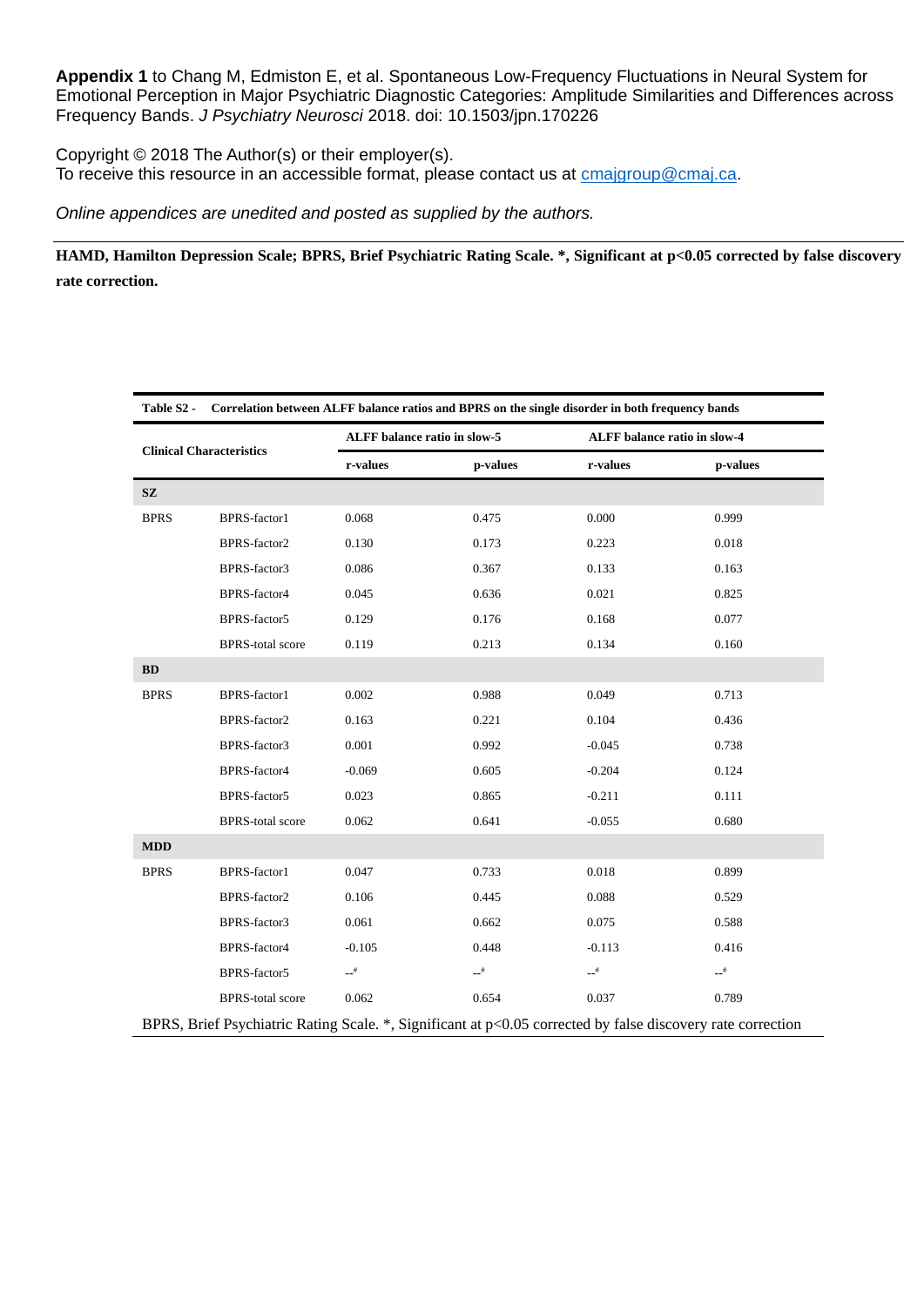Copyright © 2018 The Author(s) or their employer(s). To receive this resource in an accessible format, please contact us at **cmajgroup@cmaj.ca**.

*Online appendices are unedited and posted as supplied by the authors.*

**HAMD, Hamilton Depression Scale; BPRS, Brief Psychiatric Rating Scale. \*, Significant at p<0.05 corrected by false discovery rate correction.** 

| Table S <sub>2</sub> -                                                                                      |                         | Correlation between ALFF balance ratios and BPRS on the single disorder in both frequency bands |                   |                              |          |  |
|-------------------------------------------------------------------------------------------------------------|-------------------------|-------------------------------------------------------------------------------------------------|-------------------|------------------------------|----------|--|
| <b>Clinical Characteristics</b>                                                                             |                         | ALFF balance ratio in slow-5                                                                    |                   | ALFF balance ratio in slow-4 |          |  |
|                                                                                                             |                         | r-values                                                                                        | p-values          | r-values                     | p-values |  |
| $\mathbf{SZ}$                                                                                               |                         |                                                                                                 |                   |                              |          |  |
| <b>BPRS</b>                                                                                                 | BPRS-factor1            | 0.068                                                                                           | 0.475             | 0.000                        | 0.999    |  |
|                                                                                                             | BPRS-factor2            | 0.130                                                                                           | 0.173             | 0.223                        | 0.018    |  |
|                                                                                                             | BPRS-factor3            | 0.086                                                                                           | 0.367             | 0.133                        | 0.163    |  |
|                                                                                                             | BPRS-factor4            | 0.045                                                                                           | 0.636             | 0.021                        | 0.825    |  |
|                                                                                                             | BPRS-factor5            | 0.129                                                                                           | 0.176             | 0.168                        | 0.077    |  |
|                                                                                                             | <b>BPRS-total score</b> | 0.119                                                                                           | 0.213             | 0.134                        | 0.160    |  |
| <b>BD</b>                                                                                                   |                         |                                                                                                 |                   |                              |          |  |
| <b>BPRS</b>                                                                                                 | BPRS-factor1            | 0.002                                                                                           | 0.988             | 0.049                        | 0.713    |  |
|                                                                                                             | BPRS-factor2            | 0.163                                                                                           | 0.221             | 0.104                        | 0.436    |  |
|                                                                                                             | BPRS-factor3            | 0.001                                                                                           | 0.992             | $-0.045$                     | 0.738    |  |
|                                                                                                             | BPRS-factor4            | $-0.069$                                                                                        | 0.605             | $-0.204$                     | 0.124    |  |
|                                                                                                             | BPRS-factor5            | 0.023                                                                                           | 0.865             | $-0.211$                     | 0.111    |  |
|                                                                                                             | <b>BPRS-total score</b> | 0.062                                                                                           | 0.641             | $-0.055$                     | 0.680    |  |
| <b>MDD</b>                                                                                                  |                         |                                                                                                 |                   |                              |          |  |
| <b>BPRS</b>                                                                                                 | BPRS-factor1            | 0.047                                                                                           | 0.733             | 0.018                        | 0.899    |  |
|                                                                                                             | BPRS-factor2            | 0.106                                                                                           | 0.445             | 0.088                        | 0.529    |  |
|                                                                                                             | BPRS-factor3            | 0.061                                                                                           | 0.662             | 0.075                        | 0.588    |  |
|                                                                                                             | BPRS-factor4            | $-0.105$                                                                                        | 0.448             | $-0.113$                     | 0.416    |  |
|                                                                                                             | BPRS-factor5            | $-$ <sup>#</sup>                                                                                | $-1$ <sup>#</sup> | $\mathbf{L}^{\#}$            | $-1$     |  |
|                                                                                                             | <b>BPRS-total score</b> | 0.062                                                                                           | 0.654             | 0.037                        | 0.789    |  |
| BPRS, Brief Psychiatric Rating Scale. *, Significant at p<0.05 corrected by false discovery rate correction |                         |                                                                                                 |                   |                              |          |  |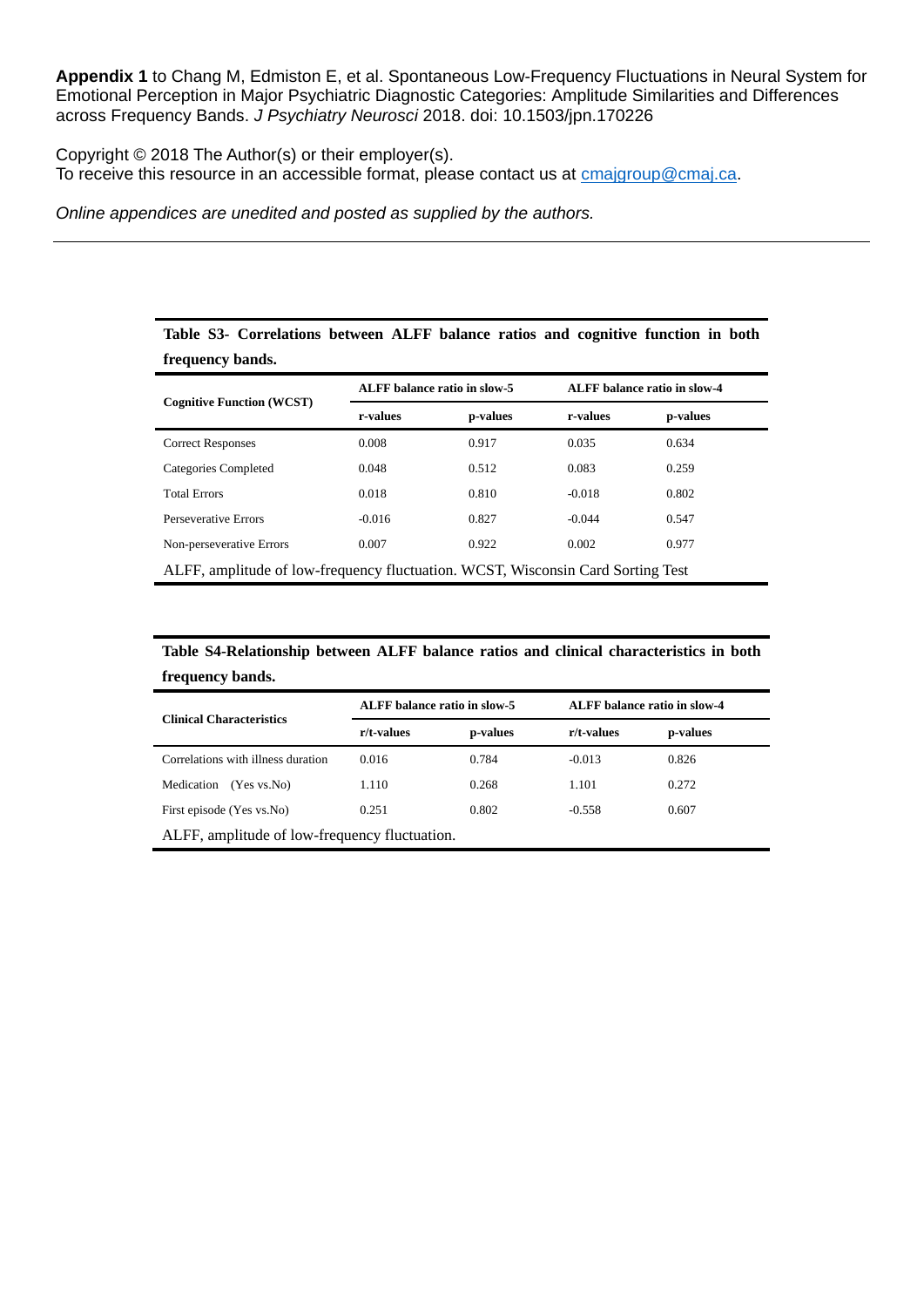Copyright © 2018 The Author(s) or their employer(s). To receive this resource in an accessible format, please contact us at **cmajgroup@cmaj.ca**.

*Online appendices are unedited and posted as supplied by the authors.*

| frequency bands.                                                                |                                     |          |          |                                     |  |  |
|---------------------------------------------------------------------------------|-------------------------------------|----------|----------|-------------------------------------|--|--|
|                                                                                 | <b>ALFF</b> balance ratio in slow-5 |          |          | <b>ALFF</b> balance ratio in slow-4 |  |  |
| <b>Cognitive Function (WCST)</b>                                                | r-values                            | p-values | r-values | p-values                            |  |  |
| <b>Correct Responses</b>                                                        | 0.008                               | 0.917    | 0.035    | 0.634                               |  |  |
| Categories Completed                                                            | 0.048                               | 0.512    | 0.083    | 0.259                               |  |  |
| <b>Total Errors</b>                                                             | 0.018                               | 0.810    | $-0.018$ | 0.802                               |  |  |
| Perseverative Errors                                                            | $-0.016$                            | 0.827    | $-0.044$ | 0.547                               |  |  |
| Non-perseverative Errors                                                        | 0.007                               | 0.922    | 0.002    | 0.977                               |  |  |
| ALFF, amplitude of low-frequency fluctuation. WCST, Wisconsin Card Sorting Test |                                     |          |          |                                     |  |  |

**Table S3- Correlations between ALFF balance ratios and cognitive function in both** 

**Table S4-Relationship between ALFF balance ratios and clinical characteristics in both frequency bands.**

| <b>Clinical Characteristics</b>               | ALFF balance ratio in slow-5 |          | ALFF balance ratio in slow-4 |          |  |  |
|-----------------------------------------------|------------------------------|----------|------------------------------|----------|--|--|
|                                               | r/t-values                   | p-values | r/t-values                   | p-values |  |  |
| Correlations with illness duration            | 0.016                        | 0.784    | $-0.013$                     | 0.826    |  |  |
| Medication<br>(Yes vs. No)                    | 1.110                        | 0.268    | 1.101                        | 0.272    |  |  |
| First episode (Yes vs.No)                     | 0.251                        | 0.802    | $-0.558$                     | 0.607    |  |  |
| ALFF, amplitude of low-frequency fluctuation. |                              |          |                              |          |  |  |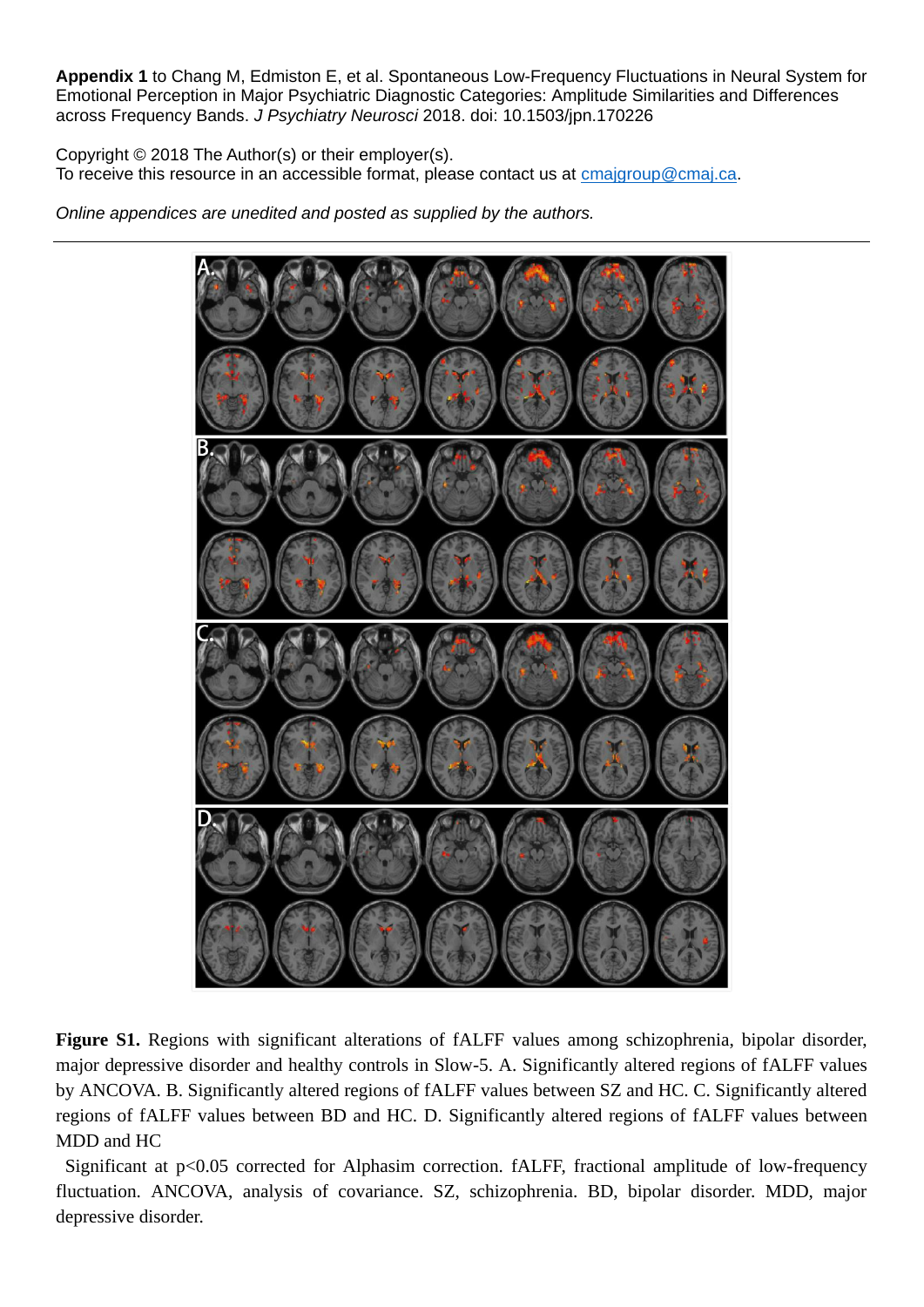Copyright © 2018 The Author(s) or their employer(s). To receive this resource in an accessible format, please contact us at **cmajgroup@cmaj.ca**.

*Online appendices are unedited and posted as supplied by the authors.*



**Figure S1.** Regions with significant alterations of fALFF values among schizophrenia, bipolar disorder, major depressive disorder and healthy controls in Slow-5. A. Significantly altered regions of fALFF values by ANCOVA. B. Significantly altered regions of fALFF values between SZ and HC. C. Significantly altered regions of fALFF values between BD and HC. D. Significantly altered regions of fALFF values between MDD and HC

Significant at p<0.05 corrected for Alphasim correction. fALFF, fractional amplitude of low-frequency fluctuation. ANCOVA, analysis of covariance. SZ, schizophrenia. BD, bipolar disorder. MDD, major depressive disorder.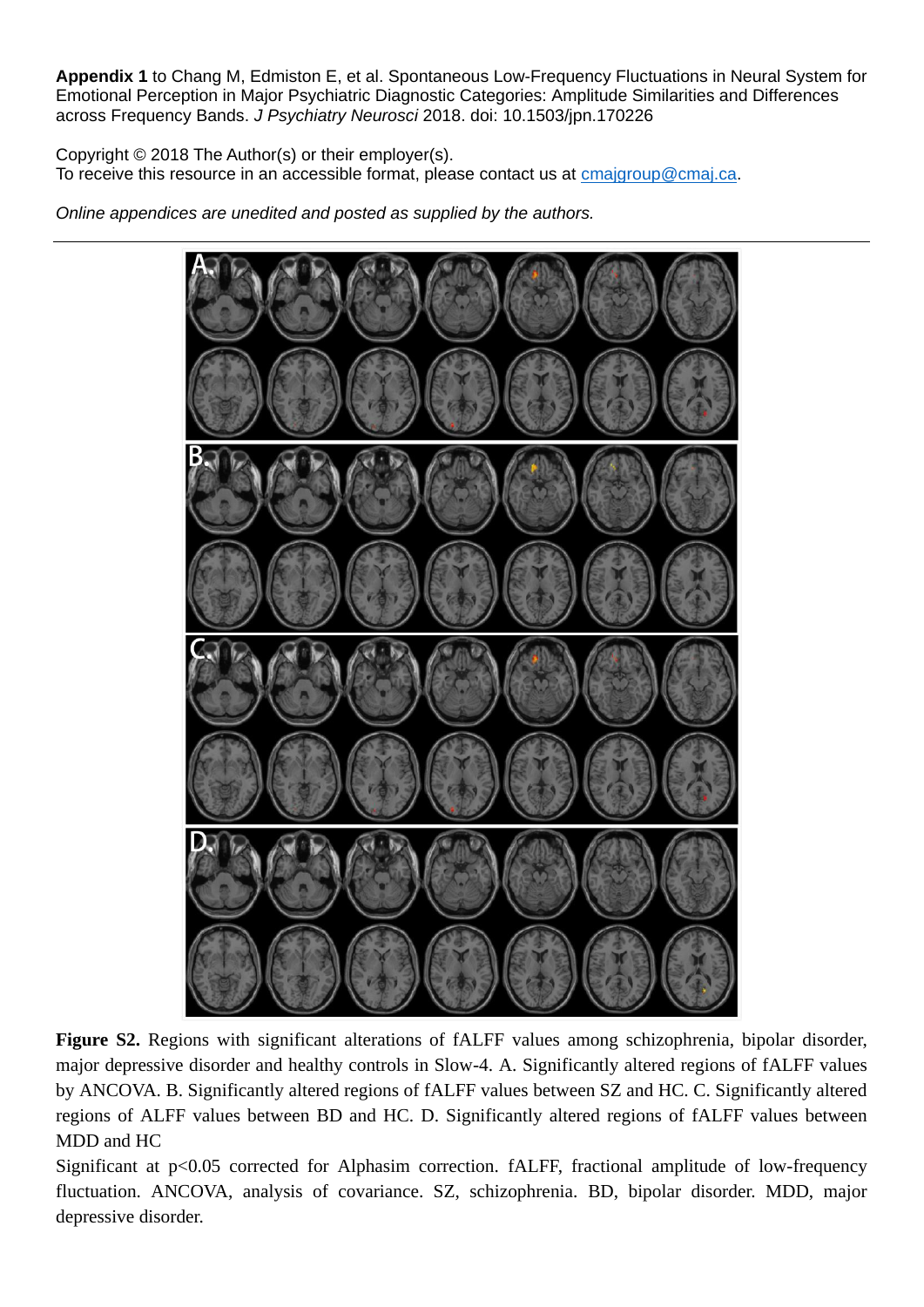Copyright © 2018 The Author(s) or their employer(s). To receive this resource in an accessible format, please contact us at **cmajgroup@cmaj.ca**.

*Online appendices are unedited and posted as supplied by the authors.*



**Figure S2.** Regions with significant alterations of fALFF values among schizophrenia, bipolar disorder, major depressive disorder and healthy controls in Slow-4. A. Significantly altered regions of fALFF values by ANCOVA. B. Significantly altered regions of fALFF values between SZ and HC. C. Significantly altered regions of ALFF values between BD and HC. D. Significantly altered regions of fALFF values between MDD and HC

Significant at p<0.05 corrected for Alphasim correction. fALFF, fractional amplitude of low-frequency fluctuation. ANCOVA, analysis of covariance. SZ, schizophrenia. BD, bipolar disorder. MDD, major depressive disorder.